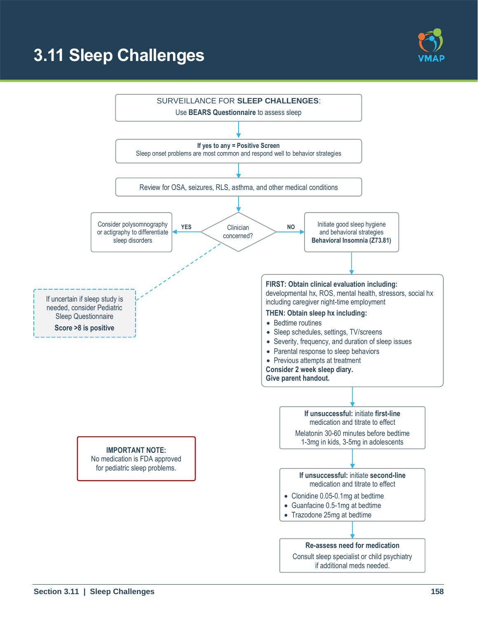# **3.11 Sleep Challenges**



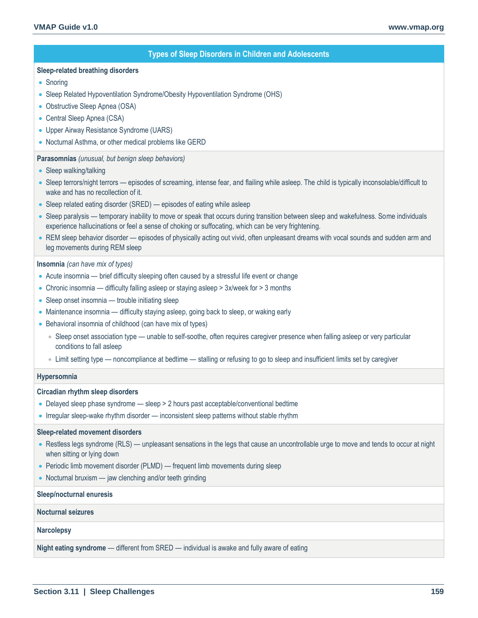## **Types of Sleep Disorders in Children and Adolescents**

#### **Sleep-related breathing disorders**

- Snoring
- Sleep Related Hypoventilation Syndrome/Obesity Hypoventilation Syndrome (OHS)
- Obstructive Sleep Apnea (OSA)
- Central Sleep Apnea (CSA)
- Upper Airway Resistance Syndrome (UARS)
- Nocturnal Asthma, or other medical problems like GERD

### **Parasomnias** *(unusual, but benign sleep behaviors)*

- Sleep walking/talking
- Sleep terrors/night terrors episodes of screaming, intense fear, and flailing while asleep. The child is typically inconsolable/difficult to wake and has no recollection of it.
- Sleep related eating disorder (SRED) episodes of eating while asleep
- Sleep paralysis temporary inability to move or speak that occurs during transition between sleep and wakefulness. Some individuals experience hallucinations or feel a sense of choking or suffocating, which can be very frightening.
- REM sleep behavior disorder episodes of physically acting out vivid, often unpleasant dreams with vocal sounds and sudden arm and leg movements during REM sleep

#### **Insomnia** *(can have mix of types)*

- Acute insomnia brief difficulty sleeping often caused by a stressful life event or change
- Chronic insomnia difficulty falling asleep or staying asleep > 3x/week for > 3 months
- Sleep onset insomnia trouble initiating sleep
- Maintenance insomnia difficulty staying asleep, going back to sleep, or waking early
- Behavioral insomnia of childhood (can have mix of types)
	- Sleep onset association type unable to self-soothe, often requires caregiver presence when falling asleep or very particular conditions to fall asleep
	- Limit setting type noncompliance at bedtime stalling or refusing to go to sleep and insufficient limits set by caregiver

#### **Hypersomnia**

#### **Circadian rhythm sleep disorders**

- Delayed sleep phase syndrome sleep > 2 hours past acceptable/conventional bedtime
- Irregular sleep-wake rhythm disorder inconsistent sleep patterns without stable rhythm

#### **Sleep-related movement disorders**

- Restless legs syndrome (RLS) unpleasant sensations in the legs that cause an uncontrollable urge to move and tends to occur at night when sitting or lying down
- Periodic limb movement disorder (PLMD) frequent limb movements during sleep
- Nocturnal bruxism jaw clenching and/or teeth grinding

#### **Sleep/nocturnal enuresis**

#### **Nocturnal seizures**

**Narcolepsy**

**Night eating syndrome** — different from SRED — individual is awake and fully aware of eating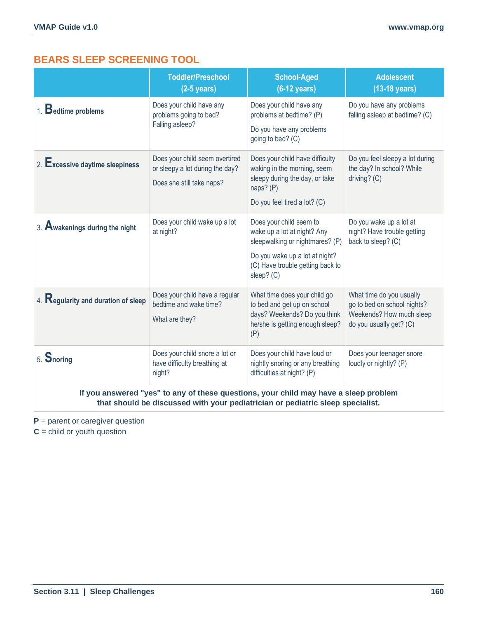# **BEARS SLEEP SCREENING TOOL**

|                                                                                                                                                                        | <b>Toddler/Preschool</b><br>$(2-5$ years)                                                      | <b>School-Aged</b><br>$(6-12 \text{ years})$                                                                                                                                  | <b>Adolescent</b><br>$(13-18 \text{ years})$                                                                   |  |
|------------------------------------------------------------------------------------------------------------------------------------------------------------------------|------------------------------------------------------------------------------------------------|-------------------------------------------------------------------------------------------------------------------------------------------------------------------------------|----------------------------------------------------------------------------------------------------------------|--|
| 1. Bedtime problems                                                                                                                                                    | Does your child have any<br>problems going to bed?<br>Falling asleep?                          | Does your child have any<br>problems at bedtime? (P)<br>Do you have any problems<br>going to bed? (C)                                                                         | Do you have any problems<br>falling asleep at bedtime? (C)                                                     |  |
| 2. $\mathsf{Excessive}$ daytime sleepiness                                                                                                                             | Does your child seem overtired<br>or sleepy a lot during the day?<br>Does she still take naps? | Does your child have difficulty<br>waking in the morning, seem<br>sleepy during the day, or take<br>naps? (P)<br>Do you feel tired a lot? (C)                                 | Do you feel sleepy a lot during<br>the day? In school? While<br>driving? (C)                                   |  |
| 3. Awakenings during the night                                                                                                                                         | Does your child wake up a lot<br>at night?                                                     | Does your child seem to<br>wake up a lot at night? Any<br>sleepwalking or nightmares? (P)<br>Do you wake up a lot at night?<br>(C) Have trouble getting back to<br>sleep? (C) | Do you wake up a lot at<br>night? Have trouble getting<br>back to sleep? (C)                                   |  |
| 4. Regularity and duration of sleep                                                                                                                                    | Does your child have a regular<br>bedtime and wake time?<br>What are they?                     | What time does your child go<br>to bed and get up on school<br>days? Weekends? Do you think<br>he/she is getting enough sleep?<br>(P)                                         | What time do you usually<br>go to bed on school nights?<br>Weekends? How much sleep<br>do you usually get? (C) |  |
| 5. Snoring                                                                                                                                                             | Does your child snore a lot or<br>have difficulty breathing at<br>night?                       | Does your child have loud or<br>nightly snoring or any breathing<br>difficulties at night? (P)                                                                                | Does your teenager snore<br>loudly or nightly? (P)                                                             |  |
| If you answered "yes" to any of these questions, your child may have a sleep problem<br>that should be discussed with your pediatrician or pediatric sleep specialist. |                                                                                                |                                                                                                                                                                               |                                                                                                                |  |

**P** = parent or caregiver question

**C** = child or youth question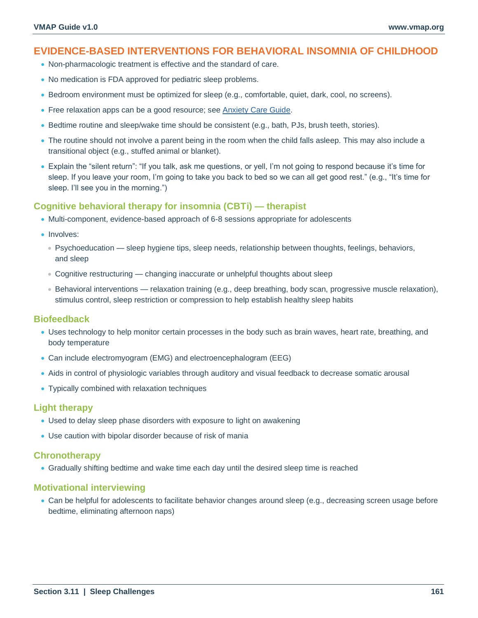# **EVIDENCE-BASED INTERVENTIONS FOR BEHAVIORAL INSOMNIA OF CHILDHOOD**

- Non-pharmacologic treatment is effective and the standard of care.
- No medication is FDA approved for pediatric sleep problems.
- Bedroom environment must be optimized for sleep (e.g., comfortable, quiet, dark, cool, no screens).
- Free relaxation apps can be a good resource; see [Anxiety Care Guide.](#page--1-0)
- Bedtime routine and sleep/wake time should be consistent (e.g., bath, PJs, brush teeth, stories).
- The routine should not involve a parent being in the room when the child falls asleep. This may also include a transitional object (e.g., stuffed animal or blanket).
- Explain the "silent return": "If you talk, ask me questions, or yell, I'm not going to respond because it's time for sleep. If you leave your room, I'm going to take you back to bed so we can all get good rest." (e.g., "It's time for sleep. I'll see you in the morning.")

## **Cognitive behavioral therapy for insomnia (CBTi) — therapist**

- Multi-component, evidence-based approach of 6-8 sessions appropriate for adolescents
- Involves:
	- Psychoeducation sleep hygiene tips, sleep needs, relationship between thoughts, feelings, behaviors, and sleep
	- Cognitive restructuring changing inaccurate or unhelpful thoughts about sleep
	- Behavioral interventions relaxation training (e.g., deep breathing, body scan, progressive muscle relaxation), stimulus control, sleep restriction or compression to help establish healthy sleep habits

## **Biofeedback**

- Uses technology to help monitor certain processes in the body such as brain waves, heart rate, breathing, and body temperature
- Can include electromyogram (EMG) and electroencephalogram (EEG)
- Aids in control of physiologic variables through auditory and visual feedback to decrease somatic arousal
- Typically combined with relaxation techniques

## **Light therapy**

- Used to delay sleep phase disorders with exposure to light on awakening
- Use caution with bipolar disorder because of risk of mania

## **Chronotherapy**

• Gradually shifting bedtime and wake time each day until the desired sleep time is reached

## **Motivational interviewing**

• Can be helpful for adolescents to facilitate behavior changes around sleep (e.g., decreasing screen usage before bedtime, eliminating afternoon naps)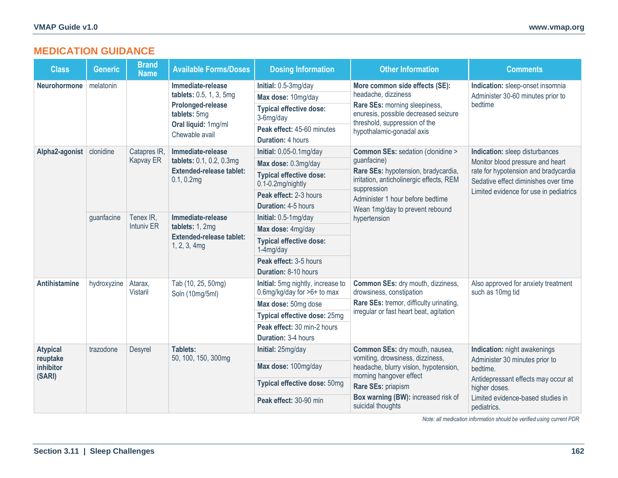# **MEDICATION GUIDANCE**

| <b>Class</b>                                       | <b>Generic</b>                    | <b>Brand</b><br><b>Name</b>                      | <b>Available Forms/Doses</b>                                                                           | <b>Dosing Information</b>                                                                      | <b>Other Information</b>                                                                                                                                     | <b>Comments</b>                                                    |
|----------------------------------------------------|-----------------------------------|--------------------------------------------------|--------------------------------------------------------------------------------------------------------|------------------------------------------------------------------------------------------------|--------------------------------------------------------------------------------------------------------------------------------------------------------------|--------------------------------------------------------------------|
| melatonin<br><b>Neurohormone</b>                   |                                   | Immediate-release                                | Initial: 0.5-3mg/day                                                                                   | More common side effects (SE):<br>headache, dizziness                                          | Indication: sleep-onset insomnia<br>Administer 30-60 minutes prior to                                                                                        |                                                                    |
|                                                    |                                   | tablets: 0.5, 1, 3, 5mg                          | Max dose: 10mg/day                                                                                     |                                                                                                |                                                                                                                                                              |                                                                    |
|                                                    | Prolonged-release<br>tablets: 5mg | <b>Typical effective dose:</b><br>3-6mg/day      | Rare SEs: morning sleepiness,<br>enuresis, possible decreased seizure<br>threshold, suppression of the | bedtime                                                                                        |                                                                                                                                                              |                                                                    |
|                                                    |                                   | Oral liquid: 1mg/ml<br>Chewable avail            | Peak effect: 45-60 minutes                                                                             | hypothalamic-gonadal axis                                                                      |                                                                                                                                                              |                                                                    |
|                                                    |                                   |                                                  |                                                                                                        | <b>Duration: 4 hours</b>                                                                       |                                                                                                                                                              |                                                                    |
| Alpha2-agonist                                     | clonidine                         | Catapres IR,                                     | Immediate-release<br>tablets: 0.1, 0.2, 0.3mg                                                          | Initial: 0.05-0.1mg/day                                                                        | Common SEs: sedation (clonidine ><br>quanfacine)                                                                                                             | Indication: sleep disturbances<br>Monitor blood pressure and heart |
|                                                    |                                   | Kapvay ER                                        |                                                                                                        | Max dose: 0.3mg/day                                                                            |                                                                                                                                                              |                                                                    |
|                                                    |                                   | <b>Extended-release tablet:</b><br>$0.1, 0.2$ mg | <b>Typical effective dose:</b><br>0.1-0.2mg/nightly                                                    | Rare SEs: hypotension, bradycardia,<br>irritation, anticholinergic effects, REM<br>suppression | rate for hypotension and bradycardia<br>Sedative effect diminishes over time                                                                                 |                                                                    |
|                                                    |                                   |                                                  |                                                                                                        | Peak effect: 2-3 hours                                                                         | Administer 1 hour before bedtime                                                                                                                             | Limited evidence for use in pediatrics                             |
|                                                    |                                   |                                                  | <b>Duration: 4-5 hours</b>                                                                             | Wean 1mg/day to prevent rebound                                                                |                                                                                                                                                              |                                                                    |
| guanfacine                                         | Tenex IR,                         | Immediate-release                                | Initial: 0.5-1mg/day                                                                                   | hypertension                                                                                   |                                                                                                                                                              |                                                                    |
|                                                    |                                   | <b>Intuniv ER</b>                                | tablets: 1, 2mg<br><b>Extended-release tablet:</b><br>1, 2, 3, 4mg                                     | Max dose: 4mg/day                                                                              |                                                                                                                                                              |                                                                    |
|                                                    |                                   |                                                  |                                                                                                        | <b>Typical effective dose:</b><br>1-4mg/day                                                    |                                                                                                                                                              |                                                                    |
|                                                    |                                   |                                                  |                                                                                                        | Peak effect: 3-5 hours                                                                         |                                                                                                                                                              |                                                                    |
|                                                    |                                   |                                                  |                                                                                                        | Duration: 8-10 hours                                                                           |                                                                                                                                                              |                                                                    |
| <b>Antihistamine</b><br>hydroxyzine                |                                   | Atarax,<br><b>Vistaril</b>                       | Tab (10, 25, 50mg)<br>Soln (10mg/5ml)                                                                  | Initial: 5mg nightly, increase to<br>0.6mg/kg/day for >6+ to max                               | Common SEs: dry mouth, dizziness,<br>drowsiness, constipation<br>Rare SEs: tremor, difficulty urinating,<br>irregular or fast heart beat, agitation          | Also approved for anxiety treatment<br>such as 10mg tid            |
|                                                    |                                   |                                                  |                                                                                                        | Max dose: 50mg dose                                                                            |                                                                                                                                                              |                                                                    |
|                                                    |                                   |                                                  |                                                                                                        | Typical effective dose: 25mg                                                                   |                                                                                                                                                              |                                                                    |
|                                                    |                                   |                                                  |                                                                                                        | Peak effect: 30 min-2 hours                                                                    |                                                                                                                                                              |                                                                    |
|                                                    |                                   |                                                  | <b>Duration: 3-4 hours</b>                                                                             |                                                                                                |                                                                                                                                                              |                                                                    |
| <b>Atypical</b><br>reuptake<br>inhibitor<br>(SARI) | trazodone                         | Desyrel                                          | <b>Tablets:</b><br>50, 100, 150, 300mg                                                                 | Initial: 25mg/day                                                                              | Common SEs: dry mouth, nausea,<br>vomiting, drowsiness, dizziness,<br>headache, blurry vision, hypotension,<br>morning hangover effect<br>Rare SEs: priapism | Indication: night awakenings                                       |
|                                                    |                                   |                                                  |                                                                                                        | Max dose: 100mg/day                                                                            |                                                                                                                                                              | Administer 30 minutes prior to<br>bedtime.                         |
|                                                    |                                   |                                                  |                                                                                                        | Typical effective dose: 50mg                                                                   |                                                                                                                                                              | Antidepressant effects may occur at<br>higher doses.               |
|                                                    |                                   |                                                  |                                                                                                        | Peak effect: 30-90 min                                                                         | Box warning (BW): increased risk of<br>suicidal thoughts                                                                                                     | Limited evidence-based studies in<br>pediatrics.                   |

*Note: all medication information should be verified using current PDR*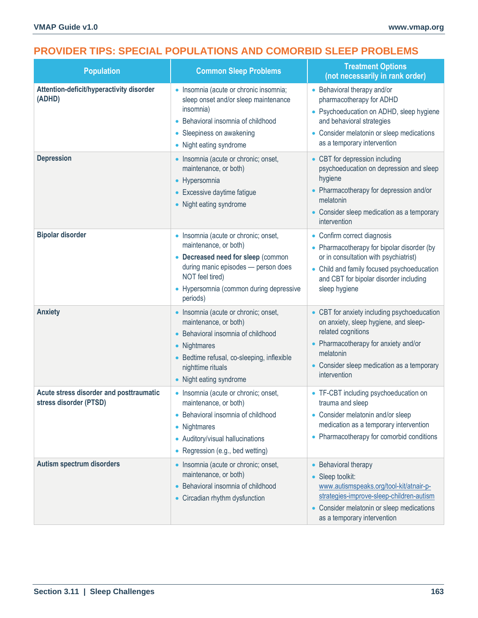# **PROVIDER TIPS: SPECIAL POPULATIONS AND COMORBID SLEEP PROBLEMS**

| <b>Population</b>                                                 | <b>Common Sleep Problems</b>                                                                                                                                                                                         | <b>Treatment Options</b><br>(not necessarily in rank order)                                                                                                                                                                   |
|-------------------------------------------------------------------|----------------------------------------------------------------------------------------------------------------------------------------------------------------------------------------------------------------------|-------------------------------------------------------------------------------------------------------------------------------------------------------------------------------------------------------------------------------|
| Attention-deficit/hyperactivity disorder<br>(ADHD)                | · Insomnia (acute or chronic insomnia;<br>sleep onset and/or sleep maintenance<br>insomnia)<br>• Behavioral insomnia of childhood<br>• Sleepiness on awakening<br>• Night eating syndrome                            | • Behavioral therapy and/or<br>pharmacotherapy for ADHD<br>• Psychoeducation on ADHD, sleep hygiene<br>and behavioral strategies<br>• Consider melatonin or sleep medications<br>as a temporary intervention                  |
| <b>Depression</b>                                                 | • Insomnia (acute or chronic; onset,<br>maintenance, or both)<br>• Hypersomnia<br>• Excessive daytime fatigue<br>• Night eating syndrome                                                                             | • CBT for depression including<br>psychoeducation on depression and sleep<br>hygiene<br>• Pharmacotherapy for depression and/or<br>melatonin<br>• Consider sleep medication as a temporary<br>intervention                    |
| <b>Bipolar disorder</b>                                           | • Insomnia (acute or chronic; onset,<br>maintenance, or both)<br>• Decreased need for sleep (common<br>during manic episodes - person does<br>NOT feel tired)<br>• Hypersomnia (common during depressive<br>periods) | • Confirm correct diagnosis<br>• Pharmacotherapy for bipolar disorder (by<br>or in consultation with psychiatrist)<br>• Child and family focused psychoeducation<br>and CBT for bipolar disorder including<br>sleep hygiene   |
| <b>Anxiety</b>                                                    | · Insomnia (acute or chronic; onset,<br>maintenance, or both)<br>• Behavioral insomnia of childhood<br>• Nightmares<br>• Bedtime refusal, co-sleeping, inflexible<br>nighttime rituals<br>• Night eating syndrome    | • CBT for anxiety including psychoeducation<br>on anxiety, sleep hygiene, and sleep-<br>related cognitions<br>• Pharmacotherapy for anxiety and/or<br>melatonin<br>• Consider sleep medication as a temporary<br>intervention |
| Acute stress disorder and posttraumatic<br>stress disorder (PTSD) | • Insomnia (acute or chronic; onset,<br>maintenance, or both)<br>• Behavioral insomnia of childhood<br>• Nightmares<br>• Auditory/visual hallucinations<br>• Regression (e.g., bed wetting)                          | • TF-CBT including psychoeducation on<br>trauma and sleep<br>• Consider melatonin and/or sleep<br>medication as a temporary intervention<br>• Pharmacotherapy for comorbid conditions                                         |
| <b>Autism spectrum disorders</b>                                  | • Insomnia (acute or chronic; onset,<br>maintenance, or both)<br>• Behavioral insomnia of childhood<br>• Circadian rhythm dysfunction                                                                                | • Behavioral therapy<br>Sleep toolkit:<br>www.autismspeaks.org/tool-kit/atnair-p-<br>strategies-improve-sleep-children-autism<br>• Consider melatonin or sleep medications<br>as a temporary intervention                     |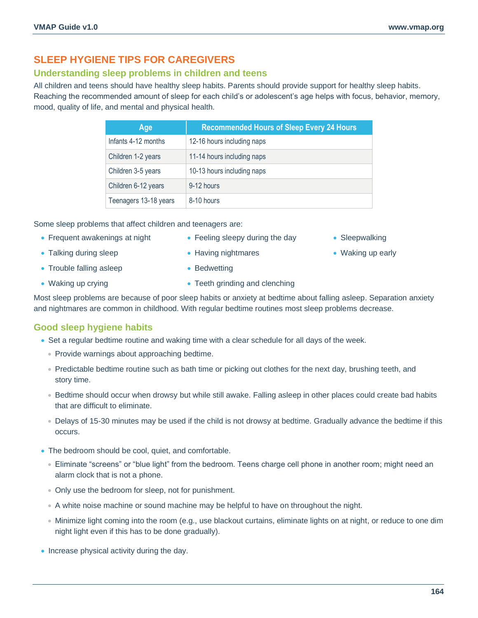# **SLEEP HYGIENE TIPS FOR CAREGIVERS**

# **Understanding sleep problems in children and teens**

All children and teens should have healthy sleep habits. Parents should provide support for healthy sleep habits. Reaching the recommended amount of sleep for each child's or adolescent's age helps with focus, behavior, memory, mood, quality of life, and mental and physical health.

| Age                   | <b>Recommended Hours of Sleep Every 24 Hours</b> |
|-----------------------|--------------------------------------------------|
| Infants 4-12 months   | 12-16 hours including naps                       |
| Children 1-2 years    | 11-14 hours including naps                       |
| Children 3-5 years    | 10-13 hours including naps                       |
| Children 6-12 years   | 9-12 hours                                       |
| Teenagers 13-18 years | 8-10 hours                                       |

Some sleep problems that affect children and teenagers are:

- Frequent awakenings at night
- Having nightmares
- Sleepwalking
- Waking up early

• Trouble falling asleep

• Talking during sleep

• Waking up crying

- Bedwetting
- Teeth grinding and clenching

• Feeling sleepy during the day

Most sleep problems are because of poor sleep habits or anxiety at bedtime about falling asleep. Separation anxiety and nightmares are common in childhood. With regular bedtime routines most sleep problems decrease.

# **Good sleep hygiene habits**

- Set a regular bedtime routine and waking time with a clear schedule for all days of the week.
	- Provide warnings about approaching bedtime.
	- Predictable bedtime routine such as bath time or picking out clothes for the next day, brushing teeth, and story time.
	- Bedtime should occur when drowsy but while still awake. Falling asleep in other places could create bad habits that are difficult to eliminate.
	- Delays of 15-30 minutes may be used if the child is not drowsy at bedtime. Gradually advance the bedtime if this occurs.
- The bedroom should be cool, quiet, and comfortable.
	- Eliminate "screens" or "blue light" from the bedroom. Teens charge cell phone in another room; might need an alarm clock that is not a phone.
	- Only use the bedroom for sleep, not for punishment.
	- A white noise machine or sound machine may be helpful to have on throughout the night.
	- Minimize light coming into the room (e.g., use blackout curtains, eliminate lights on at night, or reduce to one dim night light even if this has to be done gradually).
- Increase physical activity during the day.